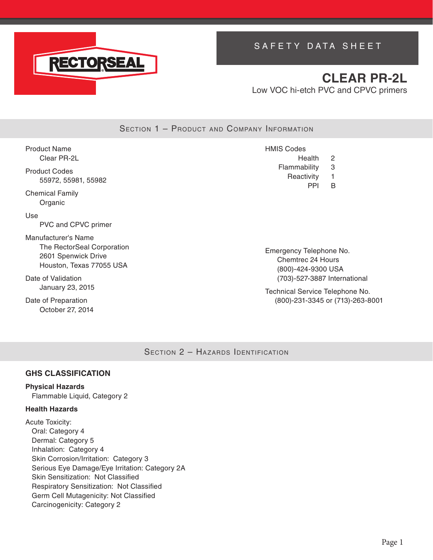

# SAFETY DATA SHEET

# **CLEAR PR-2L** Low VOC hi-etch PVC and CPVC primers

SECTION 1 - PRODUCT AND COMPANY INFORMATION

Product Name Clear PR-2L Product Codes 55972, 55981, 55982 Chemical Family Organic Use PVC and CPVC primer Manufacturer's Name The RectorSeal Corporation 2601 Spenwick Drive Houston, Texas 77055 USA Date of Validation January 23, 2015 HMIS Codes Health 2 Flammability 3 Reactivity 1 PPI B Emergency Telephone No. Chemtrec 24 Hours (800)-424-9300 USA (703)-527-3887 International

Technical Service Telephone No. (800)-231-3345 or (713)-263-8001

SECTION 2 - HAZARDS IDENTIFICATION

### **GHS CLASSIFICATION**

### **Physical Hazards**

Date of Preparation October 27, 2014

Flammable Liquid, Category 2

### **Health Hazards**

Acute Toxicity: Oral: Category 4 Dermal: Category 5 Inhalation: Category 4 Skin Corrosion/Irritation: Category 3 Serious Eye Damage/Eye Irritation: Category 2A Skin Sensitization: Not Classified Respiratory Sensitization: Not Classified Germ Cell Mutagenicity: Not Classified Carcinogenicity: Category 2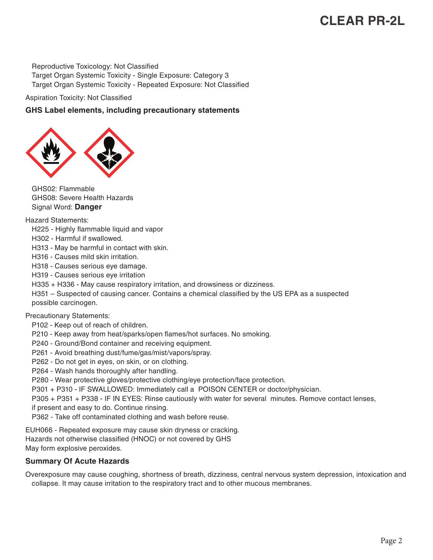Reproductive Toxicology: Not Classified Target Organ Systemic Toxicity - Single Exposure: Category 3 Target Organ Systemic Toxicity - Repeated Exposure: Not Classified

Aspiration Toxicity: Not Classified

### **GHS Label elements, including precautionary statements**



GHS02: Flammable GHS08: Severe Health Hazards Signal Word: **Danger**

Hazard Statements:

- H225 Highly flammable liquid and vapor
- H302 Harmful if swallowed.
- H313 May be harmful in contact with skin.
- H316 Causes mild skin irritation.
- H318 Causes serious eye damage.
- H319 Causes serious eye irritation
- H335 + H336 May cause respiratory irritation, and drowsiness or dizziness.
- H351 Suspected of causing cancer. Contains a chemical classified by the US EPA as a suspected possible carcinogen.

#### Precautionary Statements:

- P102 Keep out of reach of children.
- P210 Keep away from heat/sparks/open flames/hot surfaces. No smoking.
- P240 Ground/Bond container and receiving equipment.
- P261 Avoid breathing dust/fume/gas/mist/vapors/spray.
- P262 Do not get in eyes, on skin, or on clothing.
- P264 Wash hands thoroughly after handling.
- P280 Wear protective gloves/protective clothing/eye protection/face protection.
- P301 + P310 IF SWALLOWED: Immediately call a POISON CENTER or doctor/physician.

P305 + P351 + P338 - IF IN EYES: Rinse cautiously with water for several minutes. Remove contact lenses,

- if present and easy to do. Continue rinsing.
- P362 Take off contaminated clothing and wash before reuse.

EUH066 - Repeated exposure may cause skin dryness or cracking. Hazards not otherwise classified (HNOC) or not covered by GHS May form explosive peroxides.

#### **Summary Of Acute Hazards**

Overexposure may cause coughing, shortness of breath, dizziness, central nervous system depression, intoxication and collapse. It may cause irritation to the respiratory tract and to other mucous membranes.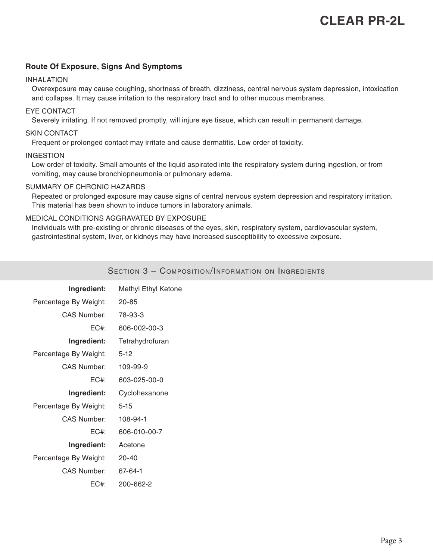#### **Route Of Exposure, Signs And Symptoms**

#### INHALATION

Overexposure may cause coughing, shortness of breath, dizziness, central nervous system depression, intoxication and collapse. It may cause irritation to the respiratory tract and to other mucous membranes.

#### EYE CONTACT

Severely irritating. If not removed promptly, will injure eye tissue, which can result in permanent damage.

#### SKIN CONTACT

Frequent or prolonged contact may irritate and cause dermatitis. Low order of toxicity.

#### INGESTION

Low order of toxicity. Small amounts of the liquid aspirated into the respiratory system during ingestion, or from vomiting, may cause bronchiopneumonia or pulmonary edema.

#### SUMMARY OF CHRONIC HAZARDS

Repeated or prolonged exposure may cause signs of central nervous system depression and respiratory irritation. This material has been shown to induce tumors in laboratory animals.

#### MEDICAL CONDITIONS AGGRAVATED BY EXPOSURE

Individuals with pre-existing or chronic diseases of the eyes, skin, respiratory system, cardiovascular system, gastrointestinal system, liver, or kidneys may have increased susceptibility to excessive exposure.

| Ingredient:           | Methyl Ethyl Ketone |
|-----------------------|---------------------|
| Percentage By Weight: | $20 - 85$           |
| <b>CAS Number:</b>    | 78-93-3             |
| $EC#$ :               | 606-002-00-3        |
| Ingredient:           | Tetrahydrofuran     |
| Percentage By Weight: | $5-12$              |
| <b>CAS Number:</b>    | 109-99-9            |
| $EC#$ :               | 603-025-00-0        |
| Ingredient:           | Cyclohexanone       |
| Percentage By Weight: | $5 - 15$            |
| <b>CAS Number:</b>    | 108-94-1            |
| $EC#$ :               | 606-010-00-7        |
| Ingredient:           | Acetone             |
| Percentage By Weight: | $20 - 40$           |
| <b>CAS Number:</b>    | 67-64-1             |
| $EC#$ :               | 200-662-2           |

SECTION 3 - COMPOSITION/INFORMATION ON INGREDIENTS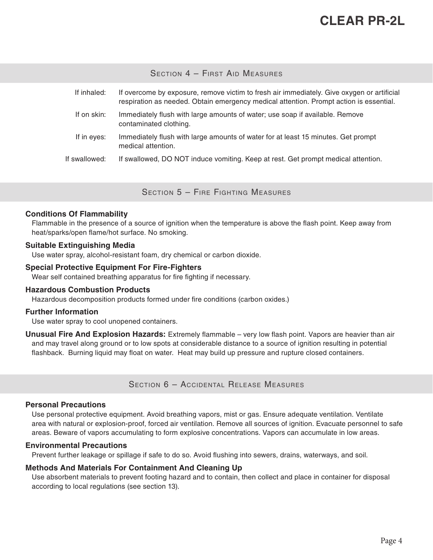SECTION 4 - FIRST AID MEASURES

| If inhaled:   | If overcome by exposure, remove victim to fresh air immediately. Give oxygen or artificial<br>respiration as needed. Obtain emergency medical attention. Prompt action is essential. |
|---------------|--------------------------------------------------------------------------------------------------------------------------------------------------------------------------------------|
| If on skin:   | Immediately flush with large amounts of water; use soap if available. Remove<br>contaminated clothing.                                                                               |
| If in eyes:   | Immediately flush with large amounts of water for at least 15 minutes. Get prompt<br>medical attention.                                                                              |
| If swallowed: | If swallowed, DO NOT induce vomiting. Keep at rest. Get prompt medical attention.                                                                                                    |

Section 5 – Fire Fighting Measures

#### **Conditions Of Flammability**

Flammable in the presence of a source of ignition when the temperature is above the flash point. Keep away from heat/sparks/open flame/hot surface. No smoking.

#### **Suitable Extinguishing Media**

Use water spray, alcohol-resistant foam, dry chemical or carbon dioxide.

#### **Special Protective Equipment For Fire-Fighters**

Wear self contained breathing apparatus for fire fighting if necessary.

#### **Hazardous Combustion Products**

Hazardous decomposition products formed under fire conditions (carbon oxides.)

#### **Further Information**

Use water spray to cool unopened containers.

**Unusual Fire And Explosion Hazards:** Extremely flammable – very low flash point. Vapors are heavier than air and may travel along ground or to low spots at considerable distance to a source of ignition resulting in potential flashback. Burning liquid may float on water. Heat may build up pressure and rupture closed containers.

Section 6 – Accidental Release Measures

#### **Personal Precautions**

Use personal protective equipment. Avoid breathing vapors, mist or gas. Ensure adequate ventilation. Ventilate area with natural or explosion-proof, forced air ventilation. Remove all sources of ignition. Evacuate personnel to safe areas. Beware of vapors accumulating to form explosive concentrations. Vapors can accumulate in low areas.

#### **Environmental Precautions**

Prevent further leakage or spillage if safe to do so. Avoid flushing into sewers, drains, waterways, and soil.

#### **Methods And Materials For Containment And Cleaning Up**

Use absorbent materials to prevent footing hazard and to contain, then collect and place in container for disposal according to local regulations (see section 13).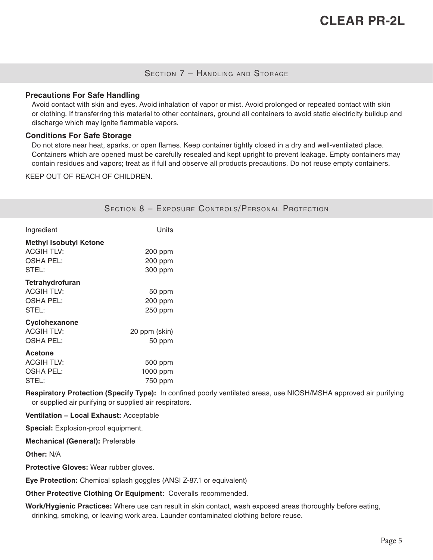### Section 7 – Handling and Storage

#### **Precautions For Safe Handling**

Avoid contact with skin and eyes. Avoid inhalation of vapor or mist. Avoid prolonged or repeated contact with skin or clothing. If transferring this material to other containers, ground all containers to avoid static electricity buildup and discharge which may ignite flammable vapors.

#### **Conditions For Safe Storage**

Do not store near heat, sparks, or open flames. Keep container tightly closed in a dry and well-ventilated place. Containers which are opened must be carefully resealed and kept upright to prevent leakage. Empty containers may contain residues and vapors; treat as if full and observe all products precautions. Do not reuse empty containers.

KEEP OUT OF REACH OF CHILDREN.

|                                                                                 |                                | <b>SECTION 8 - EXPOSURE CONTROLS/PERSONAL PROTECTION</b> |
|---------------------------------------------------------------------------------|--------------------------------|----------------------------------------------------------|
| Ingredient                                                                      | Units                          |                                                          |
| <b>Methyl Isobutyl Ketone</b><br><b>ACGIH TLV:</b><br><b>OSHA PEL:</b><br>STEL: | 200 ppm<br>200 ppm<br>300 ppm  |                                                          |
| Tetrahydrofuran<br><b>ACGIH TLV:</b><br><b>OSHA PEL:</b><br>STEL:               | 50 ppm<br>200 ppm<br>250 ppm   |                                                          |
| Cyclohexanone<br><b>ACGIH TLV:</b><br><b>OSHA PEL:</b>                          | 20 ppm (skin)<br>50 ppm        |                                                          |
| <b>Acetone</b><br><b>ACGIH TLV:</b><br><b>OSHA PEL:</b><br>STEL:                | 500 ppm<br>1000 ppm<br>750 ppm |                                                          |

**Respiratory Protection (Specify Type):** In confined poorly ventilated areas, use NIOSH/MSHA approved air purifying or supplied air purifying or supplied air respirators.

#### **Ventilation − Local Exhaust:** Acceptable

**Special:** Explosion-proof equipment.

**Mechanical (General):** Preferable

**Other:** N/A

**Protective Gloves:** Wear rubber gloves.

**Eye Protection:** Chemical splash goggles (ANSI Z-87.1 or equivalent)

**Other Protective Clothing Or Equipment:** Coveralls recommended.

**Work/Hygienic Practices:** Where use can result in skin contact, wash exposed areas thoroughly before eating, drinking, smoking, or leaving work area. Launder contaminated clothing before reuse.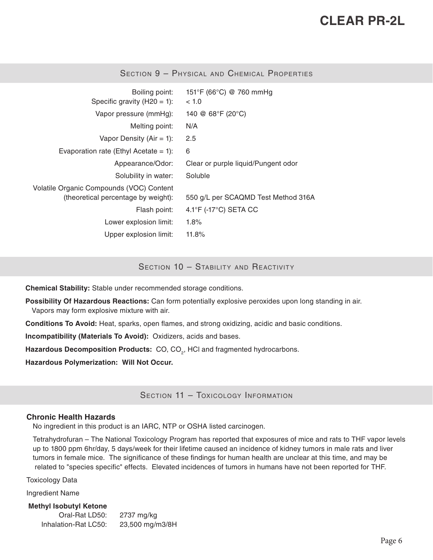| Boiling point:<br>Specific gravity $(H20 = 1)$ :                                | 151°F (66°C) @ 760 mmHg<br>~< 1.0          |
|---------------------------------------------------------------------------------|--------------------------------------------|
| Vapor pressure (mmHg):                                                          | 140 @ 68°F (20°C)                          |
| Melting point:                                                                  | N/A                                        |
| Vapor Density ( $Air = 1$ ):                                                    | 2.5                                        |
| Evaporation rate (Ethyl Acetate $= 1$ ):                                        | 6                                          |
| Appearance/Odor:                                                                | Clear or purple liquid/Pungent odor        |
| Solubility in water:                                                            | Soluble                                    |
| Volatile Organic Compounds (VOC) Content<br>(theoretical percentage by weight): | 550 g/L per SCAQMD Test Method 316A        |
| Flash point:                                                                    | $4.1^{\circ}$ F (-17 $^{\circ}$ C) SETA CC |
| Lower explosion limit:                                                          | $1.8\%$                                    |
| Upper explosion limit:                                                          | 11.8%                                      |

Section 9 – Physical and Chemical Properties

SECTION 10 - STABILITY AND REACTIVITY

**Chemical Stability:** Stable under recommended storage conditions.

**Possibility Of Hazardous Reactions:** Can form potentially explosive peroxides upon long standing in air. Vapors may form explosive mixture with air.

**Conditions To Avoid:** Heat, sparks, open flames, and strong oxidizing, acidic and basic conditions.

**Incompatibility (Materials To Avoid):** Oxidizers, acids and bases.

Hazardous Decomposition Products: CO, CO<sub>2</sub>, HCI and fragmented hydrocarbons.

**Hazardous Polymerization: Will Not Occur.**

SECTION 11 - TOXICOLOGY INFORMATION

#### **Chronic Health Hazards**

No ingredient in this product is an IARC, NTP or OSHA listed carcinogen.

Tetrahydrofuran – The National Toxicology Program has reported that exposures of mice and rats to THF vapor levels up to 1800 ppm 6hr/day, 5 days/week for their lifetime caused an incidence of kidney tumors in male rats and liver tumors in female mice. The significance of these findings for human health are unclear at this time, and may be related to "species specific" effects. Elevated incidences of tumors in humans have not been reported for THF.

Toxicology Data

Ingredient Name

**Methyl Isobutyl Ketone** Oral-Rat LD50: 2737 mg/kg Inhalation-Rat LC50: 23,500 mg/m3/8H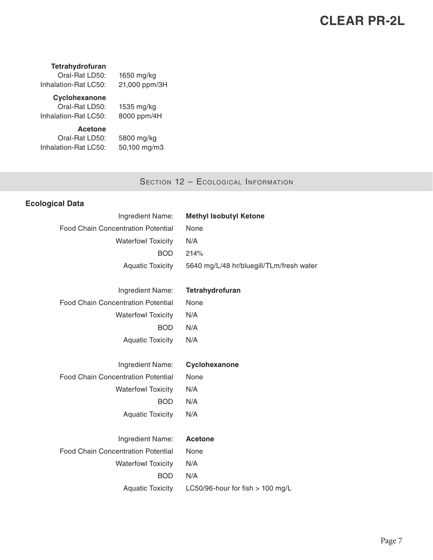#### **Tetrahydrofuran**

Oral-Rat LD50: 1650 mg/kg Inhalation-Rat LC50: 21,000 ppm/3H

# **Cyclohexanone**

Oral-Rat LD50: 1535 mg/kg Inhalation-Rat LC50: 8000 ppm/4H

# **Acetone**

Oral-Rat LD50: 5800 mg/kg Inhalation-Rat LC50: 50,100 mg/m3

SECTION 12 - ECOLOGICAL INFORMATION

## **Ecological Data**

| Ingredient Name:                          | <b>Methyl Isobutyl Ketone</b>            |
|-------------------------------------------|------------------------------------------|
| <b>Food Chain Concentration Potential</b> | None                                     |
| <b>Waterfowl Toxicity</b>                 | N/A                                      |
| <b>BOD</b>                                | 214%                                     |
| <b>Aquatic Toxicity</b>                   | 5640 mg/L/48 hr/bluegill/TLm/fresh water |
|                                           |                                          |
| Ingredient Name:                          | Tetrahydrofuran                          |
| <b>Food Chain Concentration Potential</b> | None                                     |
| <b>Waterfowl Toxicity</b>                 | N/A                                      |
| <b>BOD</b>                                | N/A                                      |
| <b>Aquatic Toxicity</b>                   | N/A                                      |
|                                           |                                          |
| Ingredient Name:                          | Cyclohexanone                            |
| <b>Food Chain Concentration Potential</b> | None                                     |
| <b>Waterfowl Toxicity</b>                 | N/A                                      |
| <b>BOD</b>                                | N/A                                      |
| <b>Aquatic Toxicity</b>                   | N/A                                      |
|                                           |                                          |
| Ingredient Name:                          | <b>Acetone</b>                           |
| <b>Food Chain Concentration Potential</b> | None                                     |
| <b>Waterfowl Toxicity</b>                 | N/A                                      |
| <b>BOD</b>                                | N/A                                      |
| <b>Aquatic Toxicity</b>                   | LC50/96-hour for fish > 100 mg/L         |
|                                           |                                          |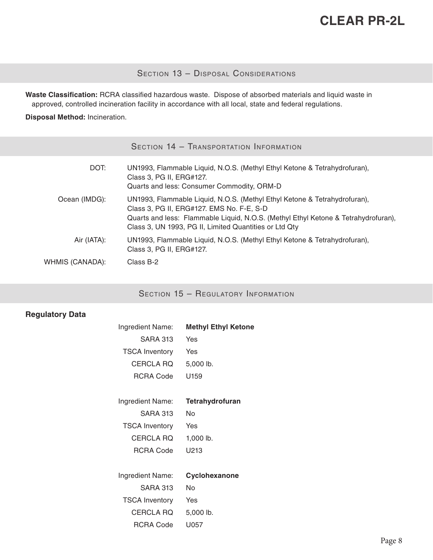## SECTION 13 - DISPOSAL CONSIDERATIONS

**Waste Classification:** RCRA classified hazardous waste. Dispose of absorbed materials and liquid waste in approved, controlled incineration facility in accordance with all local, state and federal regulations.

**Disposal Method:** Incineration.

| SECTION 14 - TRANSPORTATION INFORMATION |
|-----------------------------------------|
|                                         |

| DOT:            | UN1993, Flammable Liquid, N.O.S. (Methyl Ethyl Ketone & Tetrahydrofuran),<br>Class 3, PG II, ERG#127.<br>Quarts and less: Consumer Commodity, ORM-D                                                                                                                    |
|-----------------|------------------------------------------------------------------------------------------------------------------------------------------------------------------------------------------------------------------------------------------------------------------------|
| Ocean (IMDG):   | UN1993, Flammable Liquid, N.O.S. (Methyl Ethyl Ketone & Tetrahydrofuran),<br>Class 3, PG II, ERG#127. EMS No. F-E, S-D<br>Quarts and less: Flammable Liquid, N.O.S. (Methyl Ethyl Ketone & Tetrahydrofuran),<br>Class 3, UN 1993, PG II, Limited Quantities or Ltd Qty |
| Air (IATA):     | UN1993, Flammable Liquid, N.O.S. (Methyl Ethyl Ketone & Tetrahydrofuran),<br>Class 3, PG II, ERG#127.                                                                                                                                                                  |
| WHMIS (CANADA): | Class B-2                                                                                                                                                                                                                                                              |

## SECTION 15 - REGULATORY INFORMATION

## **Regulatory Data**

| Ingredient Name:      | <b>Methyl Ethyl Ketone</b> |
|-----------------------|----------------------------|
| <b>SARA 313</b>       | Yes                        |
| <b>TSCA Inventory</b> | Yes                        |
| <b>CERCLA RQ</b>      | 5,000 lb.                  |
| <b>RCRA Code</b>      | U159                       |
|                       |                            |
| Ingredient Name:      | Tetrahydrofuran            |
| <b>SARA 313</b>       | No.                        |
| <b>TSCA Inventory</b> | Yes                        |
| <b>CERCLA RQ</b>      | 1,000 lb.                  |
| <b>RCRA Code</b>      | U213                       |
|                       |                            |
| Ingredient Name:      | Cyclohexanone              |
| <b>SARA 313</b>       | No.                        |
| <b>TSCA Inventory</b> | Yes                        |
| <b>CERCLA RQ</b>      | 5,000 lb.                  |
| RCRA Code             | U057                       |
|                       |                            |